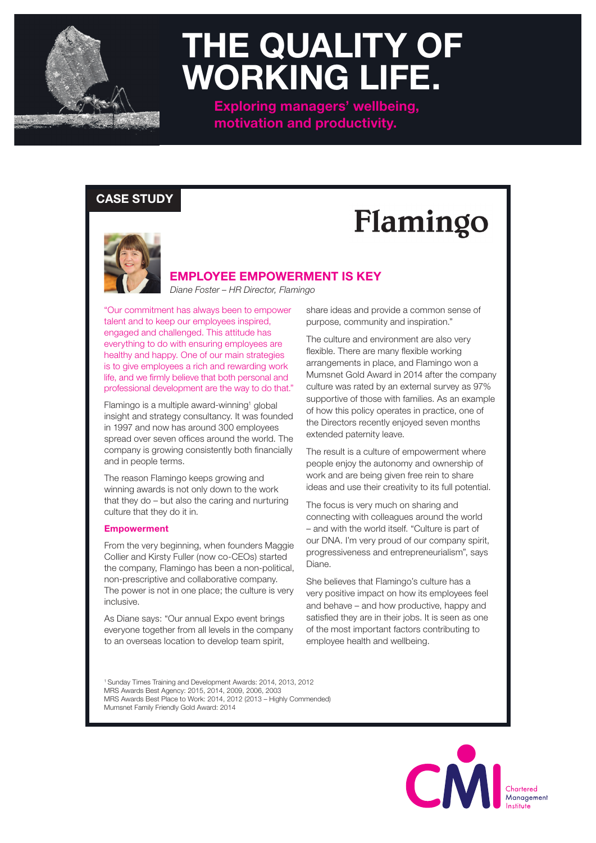

## **THE QUALITY OF WORKING LIFE.**

**Exploring managers' wellbeing, motivation and productivity.**

### **CASE STUDY**

# Flamingo



### **EMPLOYEE EMPOWERMENT IS KEY**

*Diane Foster – HR Director, Flamingo*

"Our commitment has always been to empower talent and to keep our employees inspired, engaged and challenged. This attitude has everything to do with ensuring employees are healthy and happy. One of our main strategies is to give employees a rich and rewarding work life, and we firmly believe that both personal and professional development are the way to do that."

Flamingo is a multiple award-winning<sup>1</sup> global insight and strategy consultancy. It was founded in 1997 and now has around 300 employees spread over seven offices around the world. The company is growing consistently both financially and in people terms.

The reason Flamingo keeps growing and winning awards is not only down to the work that they do – but also the caring and nurturing culture that they do it in.

#### **Empowerment**

From the very beginning, when founders Maggie Collier and Kirsty Fuller (now co-CEOs) started the company, Flamingo has been a non-political, non-prescriptive and collaborative company. The power is not in one place; the culture is very inclusive.

As Diane says: "Our annual Expo event brings everyone together from all levels in the company to an overseas location to develop team spirit,

share ideas and provide a common sense of purpose, community and inspiration."

The culture and environment are also very flexible. There are many flexible working arrangements in place, and Flamingo won a Mumsnet Gold Award in 2014 after the company culture was rated by an external survey as 97% supportive of those with families. As an example of how this policy operates in practice, one of the Directors recently enjoyed seven months extended paternity leave.

The result is a culture of empowerment where people enjoy the autonomy and ownership of work and are being given free rein to share ideas and use their creativity to its full potential.

The focus is very much on sharing and connecting with colleagues around the world – and with the world itself. "Culture is part of our DNA. I'm very proud of our company spirit, progressiveness and entrepreneurialism", says Diane.

She believes that Flamingo's culture has a very positive impact on how its employees feel and behave – and how productive, happy and satisfied they are in their jobs. It is seen as one of the most important factors contributing to employee health and wellbeing.

1 Sunday Times Training and Development Awards: 2014, 2013, 2012 MRS Awards Best Agency: 2015, 2014, 2009, 2006, 2003 MRS Awards Best Place to Work: 2014, 2012 (2013 – Highly Commended) Mumsnet Family Friendly Gold Award: 2014